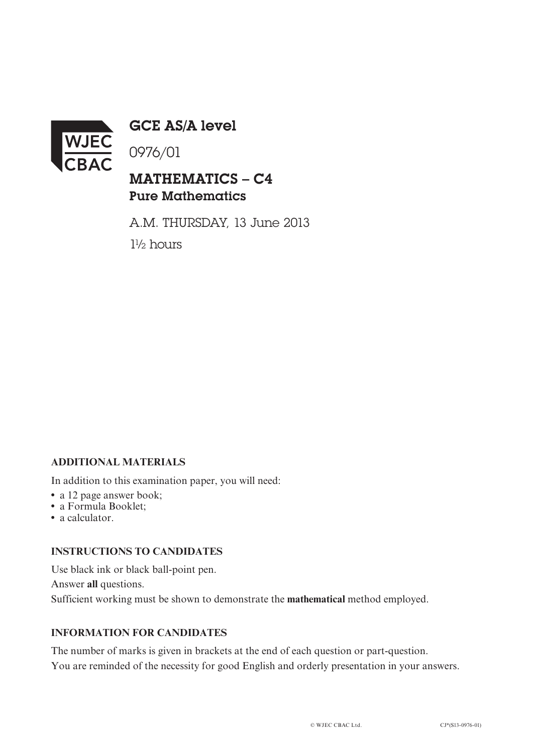

GCE AS/A level

0976/01

## MATHEMATICS – C4 Pure Mathematics

A.M. THURSDAY, 13 June 2013 1½ hours

#### **ADDITIONAL MATERIALS**

In addition to this examination paper, you will need:

- a 12 page answer book;
- **•** a Formula Booklet;
- **•** a calculator.

#### **INSTRUCTIONS TO CANDIDATES**

Use black ink or black ball-point pen. Answer **all** questions. Sufficient working must be shown to demonstrate the **mathematical** method employed.

### **INFORMATION FOR CANDIDATES**

The number of marks is given in brackets at the end of each question or part-question. You are reminded of the necessity for good English and orderly presentation in your answers.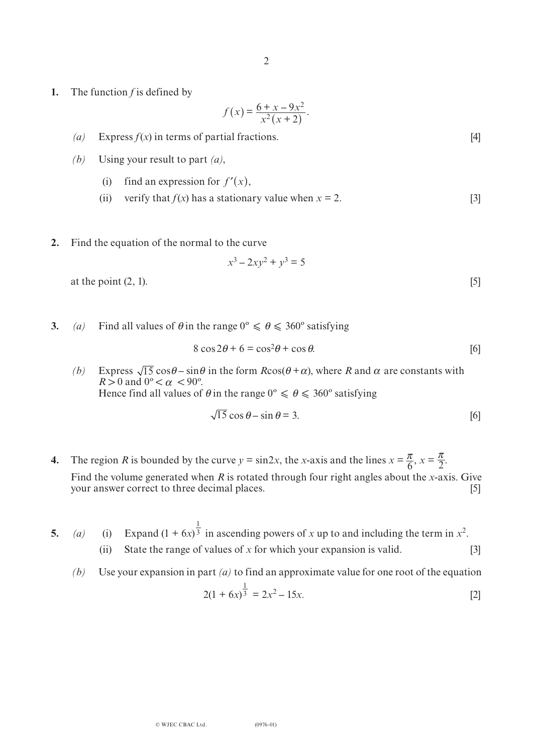**1.** The function *f* is defined by

$$
f(x) = \frac{6 + x - 9x^2}{x^2(x + 2)}.
$$

- (*a*) Express  $f(x)$  in terms of partial fractions. [4]
- *(b)* Using your result to part *(a)*,
	- (i) find an expression for  $f'(x)$ ,
	- (ii) verify that  $f(x)$  has a stationary value when  $x = 2$ . [3]
- **2.** Find the equation of the normal to the curve

$$
x^3 - 2xy^2 + y^3 = 5
$$
  
at the point (2, 1). [5]

**3.** *(a)* Find all values of  $\theta$  in the range  $0^{\circ} \le \theta \le 360^{\circ}$  satisfying

$$
8\cos 2\theta + 6 = \cos^2 \theta + \cos \theta. \tag{6}
$$

(b) Express  $\sqrt{15} \cos\theta - \sin\theta$  in the form  $R\cos(\theta + \alpha)$ , where *R* and  $\alpha$  are constants with  $R > 0$  and  $0^{\circ} < \alpha < 90^{\circ}$ . Hence find all values of  $\theta$  in the range  $0^{\circ} \le \theta \le 360^{\circ}$  satisfying

$$
\sqrt{15}\cos\theta - \sin\theta = 3. \tag{6}
$$

- **4.** The region *R* is bounded by the curve  $y = \sin 2x$ , the *x*-axis and the lines  $x = \frac{\pi}{6}$ ,  $x = \frac{\pi}{2}$ . Find the volume generated when *R* is rotated through four right angles about the *x*-axis. Give your answer correct to three decimal places. [5] 6 π 2
- **5.** *(a)* (i) Expand  $(1 + 6x)^{\frac{1}{3}}$  in ascending powers of *x* up to and including the term in  $x^2$ . (ii) State the range of values of  $x$  for which your expansion is valid.  $[3]$ 3
	- *(b)* Use your expansion in part *(a)* to find an approximate value for one root of the equation

$$
2(1+6x)^{\frac{1}{3}} = 2x^2 - 15x.
$$
 [2]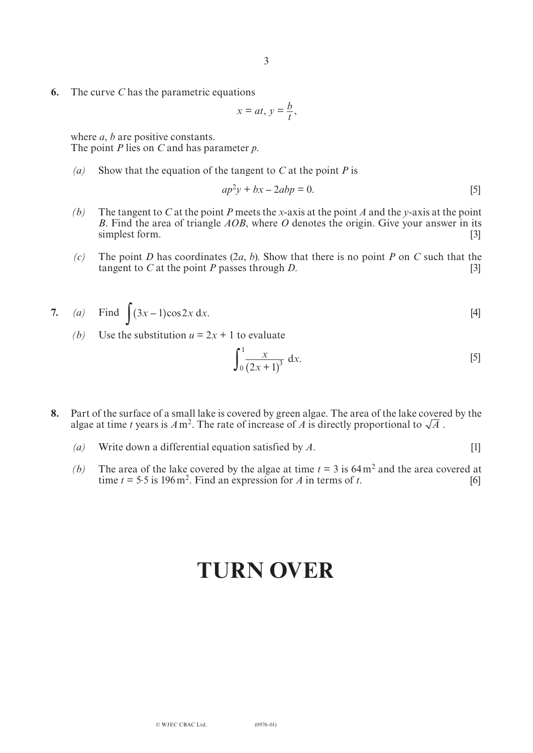**6.** The curve *C* has the parametric equations

$$
x = at, y = \frac{b}{t},
$$

where *a*, *b* are positive constants. The point *P* lies on *C* and has parameter *p*.

*(a)* Show that the equation of the tangent to *C* at the point *P* is

$$
ap^2y + bx - 2abp = 0.
$$
 [5]

- *(b)* The tangent to *C* at the point *P* meets the *x*-axis at the point *A* and the *y*-axis at the point *B*. Find the area of triangle *AOB*, where *O* denotes the origin. Give your answer in its simplest form. [3]
- *(c)* The point *D* has coordinates (2*a*, *b*). Show that there is no point *P* on *C* such that the tangent to *C* at the point *P* passes through *D*. [3]

7. (a) Find 
$$
\int (3x-1)\cos 2x \, dx
$$
. [4]

*(b)* Use the substitution  $u = 2x + 1$  to evaluate

$$
\int_0^1 \frac{x}{(2x+1)^3} \, \mathrm{d}x. \tag{5}
$$

- **8.** Part of the surface of a small lake is covered by green algae. The area of the lake covered by the algae at time *t* years is  $A m^2$ . The rate of increase of  $A$  is directly proportional to  $\sqrt{A}$ .
	- *(a)* Write down a differential equation satisfied by *A*. [1]
	- *(b)* The area of the lake covered by the algae at time  $t = 3$  is 64 m<sup>2</sup> and the area covered at time  $t = 5.5$  is 196 m<sup>2</sup>. Find an expression for *A* in terms of *t*. [6]

# **TURN OVER**